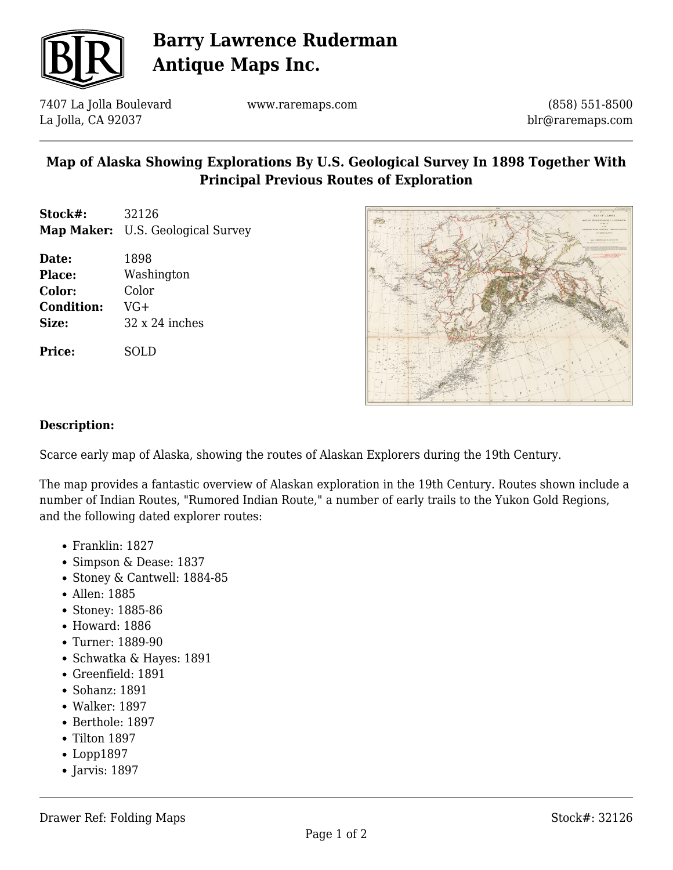

# **Barry Lawrence Ruderman Antique Maps Inc.**

7407 La Jolla Boulevard La Jolla, CA 92037

www.raremaps.com

(858) 551-8500 blr@raremaps.com

### **Map of Alaska Showing Explorations By U.S. Geological Survey In 1898 Together With Principal Previous Routes of Exploration**

- **Stock#:** 32126 **Map Maker:** U.S. Geological Survey
- **Date:** 1898 **Place:** Washington **Color:** Color **Condition:** VG+ **Size:** 32 x 24 inches

**Price:** SOLD



#### **Description:**

Scarce early map of Alaska, showing the routes of Alaskan Explorers during the 19th Century.

The map provides a fantastic overview of Alaskan exploration in the 19th Century. Routes shown include a number of Indian Routes, "Rumored Indian Route," a number of early trails to the Yukon Gold Regions, and the following dated explorer routes:

- Franklin: 1827
- Simpson & Dease: 1837
- Stoney & Cantwell: 1884-85
- Allen: 1885
- Stoney: 1885-86
- Howard: 1886
- Turner: 1889-90
- Schwatka & Hayes: 1891
- Greenfield: 1891
- Sohanz: 1891
- Walker: 1897
- Berthole: 1897
- $\bullet$  Tilton 1897
- Lopp1897
- $\bullet$  Jarvis: 1897